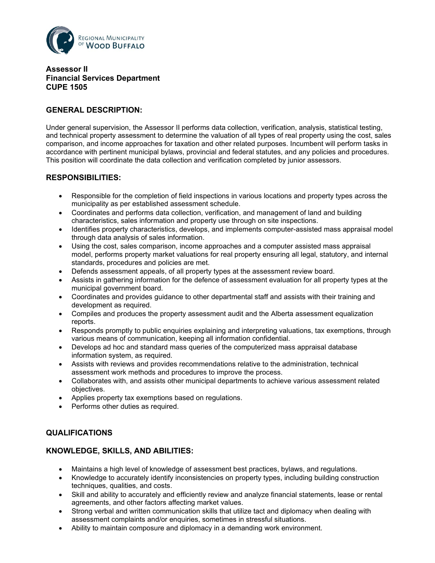

**Assessor II Financial Services Department CUPE 1505**

# **GENERAL DESCRIPTION:**

Under general supervision, the Assessor II performs data collection, verification, analysis, statistical testing, and technical property assessment to determine the valuation of all types of real property using the cost, sales comparison, and income approaches for taxation and other related purposes. Incumbent will perform tasks in accordance with pertinent municipal bylaws, provincial and federal statutes, and any policies and procedures. This position will coordinate the data collection and verification completed by junior assessors.

# **RESPONSIBILITIES:**

- Responsible for the completion of field inspections in various locations and property types across the municipality as per established assessment schedule.
- Coordinates and performs data collection, verification, and management of land and building characteristics, sales information and property use through on site inspections.
- Identifies property characteristics, develops, and implements computer-assisted mass appraisal model through data analysis of sales information.
- Using the cost, sales comparison, income approaches and a computer assisted mass appraisal model, performs property market valuations for real property ensuring all legal, statutory, and internal standards, procedures and policies are met.
- Defends assessment appeals, of all property types at the assessment review board.
- Assists in gathering information for the defence of assessment evaluation for all property types at the municipal government board.
- Coordinates and provides guidance to other departmental staff and assists with their training and development as required.
- Compiles and produces the property assessment audit and the Alberta assessment equalization reports.
- Responds promptly to public enquiries explaining and interpreting valuations, tax exemptions, through various means of communication, keeping all information confidential.
- Develops ad hoc and standard mass queries of the computerized mass appraisal database information system, as required.
- Assists with reviews and provides recommendations relative to the administration, technical assessment work methods and procedures to improve the process.
- Collaborates with, and assists other municipal departments to achieve various assessment related objectives.
- Applies property tax exemptions based on regulations.
- Performs other duties as required.

# **QUALIFICATIONS**

# **KNOWLEDGE, SKILLS, AND ABILITIES:**

- Maintains a high level of knowledge of assessment best practices, bylaws, and regulations.
- Knowledge to accurately identify inconsistencies on property types, including building construction techniques, qualities, and costs.
- Skill and ability to accurately and efficiently review and analyze financial statements, lease or rental agreements, and other factors affecting market values.
- Strong verbal and written communication skills that utilize tact and diplomacy when dealing with assessment complaints and/or enquiries, sometimes in stressful situations.
- Ability to maintain composure and diplomacy in a demanding work environment.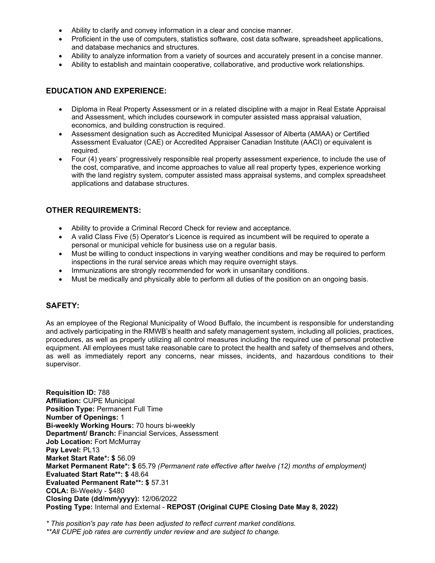- Ability to clarify and convey information in a clear and concise manner.
- Proficient in the use of computers, statistics software, cost data software, spreadsheet applications, and database mechanics and structures.
- Ability to analyze information from a variety of sources and accurately present in a concise manner.
- Ability to establish and maintain cooperative, collaborative, and productive work relationships.

# **EDUCATION AND EXPERIENCE:**

- Diploma in Real Property Assessment or in a related discipline with a major in Real Estate Appraisal and Assessment, which includes coursework in computer assisted mass appraisal valuation, economics, and building construction is required.
- Assessment designation such as Accredited Municipal Assessor of Alberta (AMAA) or Certified Assessment Evaluator (CAE) or Accredited Appraiser Canadian Institute (AACI) or equivalent is required.
- Four (4) years' progressively responsible real property assessment experience, to include the use of the cost, comparative, and income approaches to value all real property types, experience working with the land registry system, computer assisted mass appraisal systems, and complex spreadsheet applications and database structures.

### **OTHER REQUIREMENTS:**

- Ability to provide a Criminal Record Check for review and acceptance.
- A valid Class Five (5) Operator's Licence is required as incumbent will be required to operate a personal or municipal vehicle for business use on a regular basis.
- Must be willing to conduct inspections in varying weather conditions and may be required to perform inspections in the rural service areas which may require overnight stays.
- Immunizations are strongly recommended for work in unsanitary conditions.
- Must be medically and physically able to perform all duties of the position on an ongoing basis.

# **SAFETY:**

As an employee of the Regional Municipality of Wood Buffalo, the incumbent is responsible for understanding and actively participating in the RMWB's health and safety management system, including all policies, practices, procedures, as well as properly utilizing all control measures including the required use of personal protective equipment. All employees must take reasonable care to protect the health and safety of themselves and others, as well as immediately report any concerns, near misses, incidents, and hazardous conditions to their supervisor.

**Requisition ID:** 788 **Affiliation:** CUPE Municipal **Position Type:** Permanent Full Time **Number of Openings:** 1 **Bi-weekly Working Hours:** 70 hours bi-weekly **Department/ Branch:** Financial Services, Assessment **Job Location:** Fort McMurray **Pay Level:** PL13 **Market Start Rate\*: \$** 56.09 **Market Permanent Rate\*: \$** 65.79 *(Permanent rate effective after twelve (12) months of employment)* **Evaluated Start Rate\*\*: \$** 48.64 **Evaluated Permanent Rate\*\*: \$** 57.31 **COLA:** Bi-Weekly - \$480 **Closing Date (dd/mm/yyyy):** 12/06/2022 **Posting Type:** Internal and External - **REPOST (Original CUPE Closing Date May 8, 2022)**

*\* This position's pay rate has been adjusted to reflect current market conditions.*

*<sup>\*\*</sup>All CUPE job rates are currently under review and are subject to change.*